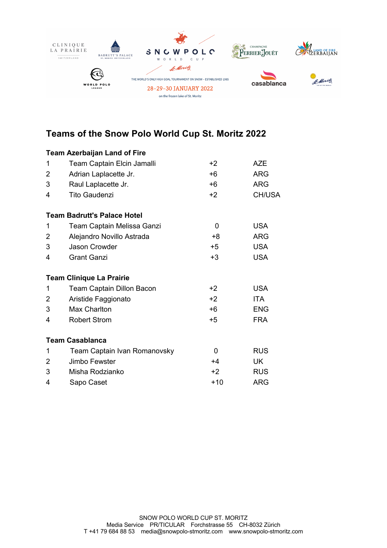

## **Teams of the Snow Polo World Cup St. Moritz 2022**

|   | <b>Team Azerbaijan Land of Fire</b> |          |               |
|---|-------------------------------------|----------|---------------|
| 1 | Team Captain Elcin Jamalli          | $+2$     | <b>AZE</b>    |
| 2 | Adrian Laplacette Jr.               | $+6$     | <b>ARG</b>    |
| 3 | Raul Laplacette Jr.                 | +6       | <b>ARG</b>    |
| 4 | <b>Tito Gaudenzi</b>                | $+2$     | <b>CH/USA</b> |
|   | <b>Team Badrutt's Palace Hotel</b>  |          |               |
| 1 | Team Captain Melissa Ganzi          | $\Omega$ | <b>USA</b>    |
| 2 | Alejandro Novillo Astrada           | +8       | <b>ARG</b>    |
| 3 | Jason Crowder                       | +5       | <b>USA</b>    |
| 4 | <b>Grant Ganzi</b>                  | $+3$     | <b>USA</b>    |
|   | <b>Team Clinique La Prairie</b>     |          |               |
| 1 | Team Captain Dillon Bacon           | $+2$     | <b>USA</b>    |
| 2 | Aristide Faggionato                 | $+2$     | ITA.          |
| 3 | Max Charlton                        | $+6$     | <b>ENG</b>    |
| 4 | <b>Robert Strom</b>                 | $+5$     | <b>FRA</b>    |
|   | <b>Team Casablanca</b>              |          |               |
| 1 | Team Captain Ivan Romanovsky        | 0        | <b>RUS</b>    |
| 2 | Jimbo Fewster                       | $+4$     | <b>UK</b>     |
| 3 | Misha Rodzianko                     | $+2$     | <b>RUS</b>    |
| 4 | Sapo Caset                          | $+10$    | <b>ARG</b>    |
|   |                                     |          |               |